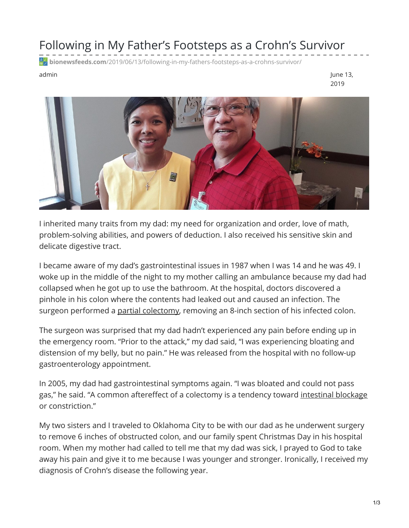## Following in My Father's Footsteps as a Crohn's Survivor

**bionewsfeeds.com**[/2019/06/13/following-in-my-fathers-footsteps-as-a-crohns-survivor/](https://bionewsfeeds.com/2019/06/13/following-in-my-fathers-footsteps-as-a-crohns-survivor/)

admin June 13, 2019



I inherited many traits from my dad: my need for organization and order, love of math, problem-solving abilities, and powers of deduction. I also received his sensitive skin and delicate digestive tract.

I became aware of my dad's gastrointestinal issues in 1987 when I was 14 and he was 49. I woke up in the middle of the night to my mother calling an ambulance because my dad had collapsed when he got up to use the bathroom. At the hospital, doctors discovered a pinhole in his colon where the contents had leaked out and caused an infection. The surgeon performed a partial [colectomy](https://www.mayoclinic.org/tests-procedures/colectomy/about/pac-20384631), removing an 8-inch section of his infected colon.

The surgeon was surprised that my dad hadn't experienced any pain before ending up in the emergency room. "Prior to the attack," my dad said, "I was experiencing bloating and distension of my belly, but no pain." He was released from the hospital with no follow-up gastroenterology appointment.

In 2005, my dad had gastrointestinal symptoms again. "I was bloated and could not pass gas," he said. "A common aftereffect of a colectomy is a tendency toward [intestinal](https://www.mayoclinic.org/diseases-conditions/intestinal-obstruction/symptoms-causes/syc-20351460) blockage or constriction."

My two sisters and I traveled to Oklahoma City to be with our dad as he underwent surgery to remove 6 inches of obstructed colon, and our family spent Christmas Day in his hospital room. When my mother had called to tell me that my dad was sick, I prayed to God to take away his pain and give it to me because I was younger and stronger. Ironically, I received my diagnosis of Crohn's disease the following year.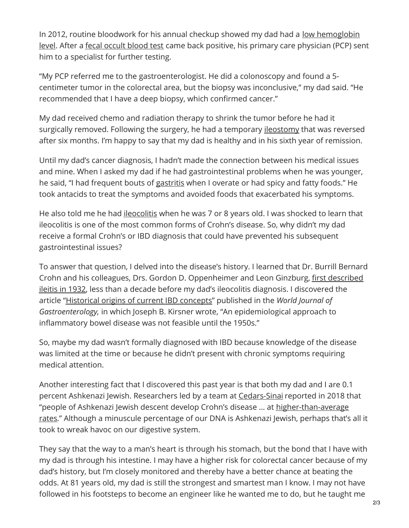In 2012, routine bloodwork for his annual checkup showed my dad had a <u>low [hemoglobin](https://www.mayoclinic.org/symptoms/low-hemoglobin/basics/definition/sym-20050760)</u> level. After a fecal [occult](https://www.mayoclinic.org/tests-procedures/fecal-occult-blood-test/about/pac-20394112) blood test came back positive, his primary care physician (PCP) sent him to a specialist for further testing.

"My PCP referred me to the gastroenterologist. He did a colonoscopy and found a 5 centimeter tumor in the colorectal area, but the biopsy was inconclusive," my dad said. "He recommended that I have a deep biopsy, which confirmed cancer."

My dad received chemo and radiation therapy to shrink the tumor before he had it surgically removed. Following the surgery, he had a temporary <u>[ileostomy](https://www.cancer.org/treatment/treatments-and-side-effects/physical-side-effects/ostomies/ileostomy/what-is-ileostomy.html)</u> that was reversed after six months. I'm happy to say that my dad is healthy and in his sixth year of remission.

Until my dad's cancer diagnosis, I hadn't made the connection between his medical issues and mine. When I asked my dad if he had gastrointestinal problems when he was younger, he said, "I had frequent bouts of [gastritis](https://www.mayoclinic.org/diseases-conditions/gastritis/symptoms-causes/syc-20355807) when I overate or had spicy and fatty foods." He took antacids to treat the symptoms and avoided foods that exacerbated his symptoms.

He also told me he had *[ileocolitis](https://www.ibdrelief.com/learn/what-is-ibd/what-is-crohns-disease/ileocolitis)* when he was 7 or 8 years old. I was shocked to learn that ileocolitis is one of the most common forms of Crohn's disease. So, why didn't my dad receive a formal Crohn's or IBD diagnosis that could have prevented his subsequent gastrointestinal issues?

To answer that question, I delved into the disease's history. I learned that Dr. Burrill Bernard Crohn and his colleagues, Drs. Gordon D. [Oppenheimer](https://www.nytimes.com/1988/03/25/obituaries/dr-leon-ginzburg-89-surgeon-and-professor.html) and Leon Ginzburg, first described ileitis in 1932, less than a decade before my dad's ileocolitis diagnosis. I discovered the article ["Historical](https://www.ncbi.nlm.nih.gov/pmc/articles/PMC4723519/) origins of current IBD concepts" published in the *World Journal of Gastroenterology,* in which Joseph B. Kirsner wrote, "An epidemiological approach to inflammatory bowel disease was not feasible until the 1950s."

So, maybe my dad wasn't formally diagnosed with IBD because knowledge of the disease was limited at the time or because he didn't present with chronic symptoms requiring medical attention.

Another interesting fact that I discovered this past year is that both my dad and I are 0.1 percent Ashkenazi Jewish. Researchers led by a team at [Cedars-Sinai](https://www.cedars-sinai.org/) reported in 2018 that "people of Ashkenazi Jewish descent develop Crohn's disease … at [higher-than-average](https://blog.cedars-sinai.edu/ashkenazi-jews-and-crohns-whats-the-connection/) rates." Although a minuscule percentage of our DNA is Ashkenazi Jewish, perhaps that's all it took to wreak havoc on our digestive system.

They say that the way to a man's heart is through his stomach, but the bond that I have with my dad is through his intestine. I may have a higher risk for colorectal cancer because of my dad's history, but I'm closely monitored and thereby have a better chance at beating the odds. At 81 years old, my dad is still the strongest and smartest man I know. I may not have followed in his footsteps to become an engineer like he wanted me to do, but he taught me